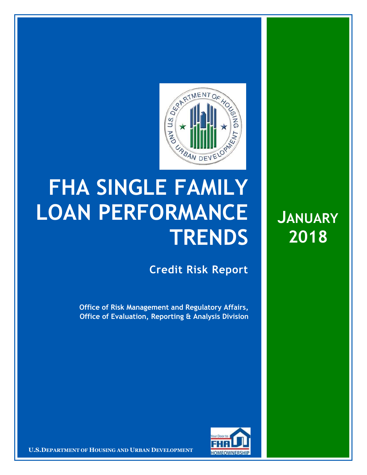

## **FHA SINGLE FAMILY LOAN PERFORMANCE TRENDS**

**Credit Risk Report**

**Office of Risk Management and Regulatory Affairs, Office of Evaluation, Reporting & Analysis Division**



**U.S.DEPARTMENT OF HOUSING AND URBAN DEVELOPMENT** 

**JANUARY 2018**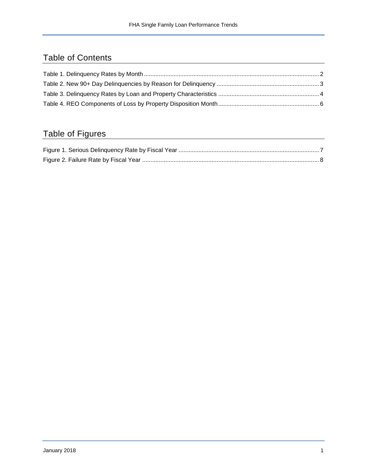## Table of Contents

## Table of Figures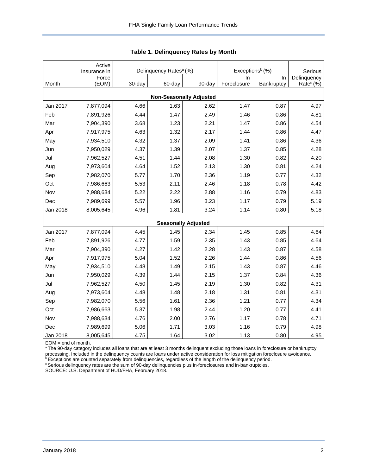<span id="page-2-0"></span>

|                                | Active<br>Insurance in |        | Delinquency Rates <sup>a</sup> (%) |                            | Exceptions <sup>b</sup> (%) | Serious    |                       |  |  |  |  |  |
|--------------------------------|------------------------|--------|------------------------------------|----------------------------|-----------------------------|------------|-----------------------|--|--|--|--|--|
|                                | Force                  |        |                                    |                            | In                          | In.        | Delinquency           |  |  |  |  |  |
| Month                          | (EOM)                  | 30-day | 60-day                             | 90-day                     | Foreclosure                 | Bankruptcy | Rate <sup>c</sup> (%) |  |  |  |  |  |
| <b>Non-Seasonally Adjusted</b> |                        |        |                                    |                            |                             |            |                       |  |  |  |  |  |
| Jan 2017                       | 7,877,094              | 4.66   | 1.63                               | 2.62                       | 1.47                        | 0.87       | 4.97                  |  |  |  |  |  |
| Feb                            | 7,891,926              | 4.44   | 1.47                               | 2.49                       | 1.46                        | 0.86       | 4.81                  |  |  |  |  |  |
| Mar                            | 7,904,390              | 3.68   | 1.23                               | 2.21                       | 1.47                        | 0.86       | 4.54                  |  |  |  |  |  |
| Apr                            | 7,917,975              | 4.63   | 1.32                               | 2.17                       | 1.44                        | 0.86       | 4.47                  |  |  |  |  |  |
| May                            | 7,934,510              | 4.32   | 1.37                               | 2.09                       | 1.41                        | 0.86       | 4.36                  |  |  |  |  |  |
| Jun                            | 7,950,029              | 4.37   | 1.39                               | 2.07                       | 1.37                        | 0.85       | 4.28                  |  |  |  |  |  |
| Jul                            | 7,962,527              | 4.51   | 1.44                               | 2.08                       | 1.30                        | 0.82       | 4.20                  |  |  |  |  |  |
| Aug                            | 7,973,604              | 4.64   | 1.52                               | 2.13                       | 1.30                        | 0.81       | 4.24                  |  |  |  |  |  |
| Sep                            | 7,982,070              | 5.77   | 1.70                               | 2.36                       | 1.19                        | 0.77       | 4.32                  |  |  |  |  |  |
| Oct                            | 7,986,663              | 5.53   | 2.11                               | 2.46                       | 1.18                        | 0.78       | 4.42                  |  |  |  |  |  |
| Nov                            | 7,988,634              | 5.22   | 2.22                               | 2.88                       | 1.16                        | 0.79       | 4.83                  |  |  |  |  |  |
| Dec                            | 7,989,699              | 5.57   | 1.96                               | 3.23                       | 1.17                        | 0.79       | 5.19                  |  |  |  |  |  |
| Jan 2018                       | 8,005,645              | 4.96   | 1.81                               | 3.24                       | 1.14                        | 0.80       | 5.18                  |  |  |  |  |  |
|                                |                        |        |                                    | <b>Seasonally Adjusted</b> |                             |            |                       |  |  |  |  |  |
| Jan 2017                       | 7,877,094              | 4.45   | 1.45                               | 2.34                       | 1.45                        | 0.85       | 4.64                  |  |  |  |  |  |
| Feb                            | 7,891,926              | 4.77   | 1.59                               | 2.35                       | 1.43                        | 0.85       | 4.64                  |  |  |  |  |  |
| Mar                            | 7,904,390              | 4.27   | 1.42                               | 2.28                       | 1.43                        | 0.87       | 4.58                  |  |  |  |  |  |
| Apr                            | 7,917,975              | 5.04   | 1.52                               | 2.26                       | 1.44                        | 0.86       | 4.56                  |  |  |  |  |  |
| May                            | 7,934,510              | 4.48   | 1.49                               | 2.15                       | 1.43                        | 0.87       | 4.46                  |  |  |  |  |  |
| Jun                            | 7,950,029              | 4.39   | 1.44                               | 2.15                       | 1.37                        | 0.84       | 4.36                  |  |  |  |  |  |
| Jul                            | 7,962,527              | 4.50   | 1.45                               | 2.19                       | 1.30                        | 0.82       | 4.31                  |  |  |  |  |  |
| Aug                            | 7,973,604              | 4.48   | 1.48                               | 2.18                       | 1.31                        | 0.81       | 4.31                  |  |  |  |  |  |
| Sep                            | 7,982,070              | 5.56   | 1.61                               | 2.36                       | 1.21                        | 0.77       | 4.34                  |  |  |  |  |  |
| Oct                            | 7,986,663              | 5.37   | 1.98                               | 2.44                       | 1.20                        | 0.77       | 4.41                  |  |  |  |  |  |
| Nov                            | 7,988,634              | 4.76   | 2.00                               | 2.76                       | 1.17                        | 0.78       | 4.71                  |  |  |  |  |  |
| Dec                            | 7,989,699              | 5.06   | 1.71                               | 3.03                       | 1.16                        | 0.79       | 4.98                  |  |  |  |  |  |
| Jan 2018                       | 8,005,645              | 4.75   | 1.64                               | 3.02                       | 1.13                        | 0.80       | 4.95                  |  |  |  |  |  |

**Table 1. Delinquency Rates by Month**

EOM = end of month.

a The 90-day category includes all loans that are at least 3 months delinquent excluding those loans in foreclosure or bankruptcy processing. Included in the delinquency counts are loans under active consideration for loss mitigation foreclosure avoidance.

**bExceptions are counted separately from delinquencies, regardless of the length of the delinquency period.** 

<sup>c</sup> Serious delinquency rates are the sum of 90-day delinquencies plus in-foreclosures and in-bankruptcies.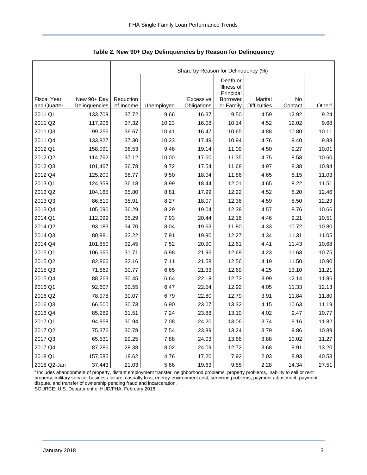|                                   |                              | Share by Reason for Delinquency (%) |            |                          |                                     |                                |               |                    |  |  |  |
|-----------------------------------|------------------------------|-------------------------------------|------------|--------------------------|-------------------------------------|--------------------------------|---------------|--------------------|--|--|--|
|                                   |                              |                                     |            |                          | Death or<br>Illness of<br>Principal |                                |               |                    |  |  |  |
| <b>Fiscal Year</b><br>and Quarter | New 90+ Day<br>Delinquencies | Reduction<br>of Income              | Unemployed | Excessive<br>Obligations | <b>Borrower</b><br>or Family        | Marital<br><b>Difficulties</b> | No<br>Contact | Other <sup>a</sup> |  |  |  |
| 2011 Q1                           | 133,709                      | 37.72                               | 9.66       | 16.37                    | 9.50                                | 4.59                           | 12.92         | 9.24               |  |  |  |
| 2011 Q2                           | 117,906                      | 37.32                               | 10.23      | 16.08                    | 10.14                               | 4.52                           | 12.02         | 9.68               |  |  |  |
| 2011 Q3                           | 99,256                       | 36.67                               | 10.41      | 16.47                    | 10.65                               | 4.88                           | 10.80         | 10.11              |  |  |  |
| 2011 Q4                           | 133,827                      | 37.30                               | 10.23      | 17.49                    | 10.94                               | 4.76                           | 9.40          | 9.88               |  |  |  |
| 2012 Q1                           | 158,091                      | 36.53                               | 9.46       | 19.14                    | 11.09                               | 4.50                           | 9.27          | 10.01              |  |  |  |
| 2012 Q2                           | 114,762                      | 37.12                               | 10.00      | 17.60                    | 11.35                               | 4.75                           | 8.58          | 10.60              |  |  |  |
| 2012 Q3                           | 101,467                      | 36.78                               | 9.72       | 17.54                    | 11.68                               | 4.97                           | 8.38          | 10.94              |  |  |  |
| 2012 Q4                           | 125,200                      | 36.77                               | 9.50       | 18.04                    | 11.86                               | 4.65                           | 8.15          | 11.03              |  |  |  |
| 2013 Q1                           | 124,359                      | 36.18                               | 8.99       | 18.44                    | 12.01                               | 4.65                           | 8.22          | 11.51              |  |  |  |
| 2013 Q2                           | 104,165                      | 35.80                               | 8.81       | 17.99                    | 12.22                               | 4.52                           | 8.20          | 12.46              |  |  |  |
| 2013 Q3                           | 86,810                       | 35.91                               | 8.27       | 18.07                    | 12.36                               | 4.59                           | 8.50          | 12.29              |  |  |  |
| 2013 Q4                           | 105,090                      | 36.29                               | 8.29       | 19.04                    | 12.38                               | 4.57                           | 8.76          | 10.66              |  |  |  |
| 2014 Q1                           | 112,099                      | 35.29                               | 7.93       | 20.44                    | 12.16                               | 4.46                           | 9.21          | 10.51              |  |  |  |
| 2014 Q2                           | 93,183                       | 34.70                               | 8.04       | 19.63                    | 11.80                               | 4.33                           | 10.72         | 10.80              |  |  |  |
| 2014 Q3                           | 80,881                       | 33.22                               | 7.91       | 19.90                    | 12.27                               | 4.34                           | 11.31         | 11.05              |  |  |  |
| 2014 Q4                           | 101,850                      | 32.45                               | 7.52       | 20.90                    | 12.61                               | 4.41                           | 11.43         | 10.68              |  |  |  |
| 2015 Q1                           | 106,665                      | 31.71                               | 6.98       | 21.96                    | 12.69                               | 4.23                           | 11.68         | 10.75              |  |  |  |
| 2015 Q2                           | 82,866                       | 32.16                               | 7.11       | 21.58                    | 12.56                               | 4.19                           | 11.50         | 10.90              |  |  |  |
| 2015 Q3                           | 71,869                       | 30.77                               | 6.65       | 21.33                    | 12.69                               | 4.25                           | 13.10         | 11.21              |  |  |  |
| 2015 Q4                           | 88,263                       | 30.45                               | 6.64       | 22.18                    | 12.73                               | 3.99                           | 12.14         | 11.86              |  |  |  |
| 2016 Q1                           | 92,607                       | 30.55                               | 6.47       | 22.54                    | 12.92                               | 4.05                           | 11.33         | 12.13              |  |  |  |
| 2016 Q2                           | 78,978                       | 30.07                               | 6.79       | 22.80                    | 12.79                               | 3.91                           | 11.84         | 11.80              |  |  |  |
| 2016 Q3                           | 66,500                       | 30.73                               | 6.90       | 23.07                    | 13.32                               | 4.15                           | 10.63         | 11.19              |  |  |  |
| 2016 Q4                           | 85,289                       | 31.51                               | 7.24       | 23.88                    | 13.10                               | 4.02                           | 9.47          | 10.77              |  |  |  |
| 2017 Q1                           | 94,958                       | 30.94                               | 7.08       | 24.20                    | 13.06                               | 3.74                           | 9.16          | 11.82              |  |  |  |
| 2017 Q2                           | 75,376                       | 30.78                               | 7.54       | 23.89                    | 13.24                               | 3.79                           | 9.86          | 10.89              |  |  |  |
| 2017 Q3                           | 65,531                       | 29.25                               | 7.88       | 24.03                    | 13.68                               | 3.88                           | 10.02         | 11.27              |  |  |  |
| 2017 Q4                           | 87,286                       | 28.38                               | 8.02       | 24.09                    | 12.72                               | 3.68                           | 9.91          | 13.20              |  |  |  |
| 2018 Q1                           | 157,585                      | 18.62                               | 4.76       | 17.20                    | 7.92                                | 2.03                           | 8.93          | 40.53              |  |  |  |
| 2018 Q2-Jan                       | 37,443                       | 21.03                               | 5.66       | 19.63                    | 9.55                                | 2.28                           | 14.34         | 27.51              |  |  |  |

<span id="page-3-0"></span>**Table 2. New 90+ Day Delinquencies by Reason for Delinquency**

a Includes abandonment of property, distant employment transfer, neighborhood problems, property problems, inability to sell or rent property, military service, business failure, casualty loss, energy-environment cost, servicing problems, payment adjustment, payment dispute, and transfer of ownership pending fraud and incarceration. SOURCE: U.S. Department of HUD/FHA, February 2018.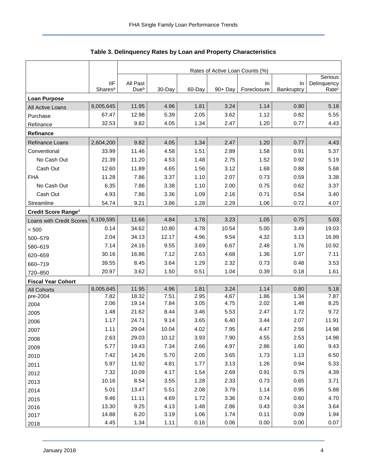<span id="page-4-0"></span>

|                           |                                   | Rates of Active Loan Counts (%) |              |              |              |                   |                  |                                  |  |  |
|---------------------------|-----------------------------------|---------------------------------|--------------|--------------|--------------|-------------------|------------------|----------------------------------|--|--|
|                           |                                   |                                 |              |              |              |                   |                  | Serious                          |  |  |
|                           | <b>IIF</b><br>Shares <sup>a</sup> | All Past<br>Due <sup>b</sup>    | 30-Day       | 60-Day       | 90+ Day      | In<br>Foreclosure | In<br>Bankruptcy | Delinquency<br>Rate <sup>c</sup> |  |  |
| <b>Loan Purpose</b>       |                                   |                                 |              |              |              |                   |                  |                                  |  |  |
| All Active Loans          | 8,005,645                         | 11.95                           | 4.96         | 1.81         | 3.24         | 1.14              | 0.80             | 5.18                             |  |  |
| Purchase                  | 67.47                             | 12.98                           | 5.39         | 2.05         | 3.62         | 1.12              | 0.82             | 5.55                             |  |  |
| Refinance                 | 32.53                             | 9.82                            | 4.05         | 1.34         | 2.47         | 1.20              | 0.77             | 4.43                             |  |  |
| Refinance                 |                                   |                                 |              |              |              |                   |                  |                                  |  |  |
| Refinance Loans           | 2,604,200                         | 9.82                            | 4.05         | 1.34         | 2.47         | 1.20              | 0.77             | 4.43                             |  |  |
| Conventional              | 33.99                             | 11.46                           | 4.58         | 1.51         | 2.89         | 1.58              | 0.91             | 5.37                             |  |  |
| No Cash Out               | 21.39                             | 11.20                           | 4.53         | 1.48         | 2.75         | 1.52              | 0.92             | 5.19                             |  |  |
| Cash Out                  | 12.60                             | 11.89                           | 4.65         | 1.56         | 3.12         | 1.68              | 0.88             | 5.68                             |  |  |
| <b>FHA</b>                | 11.28                             | 7.86                            | 3.37         | 1.10         | 2.07         | 0.73              | 0.59             | 3.38                             |  |  |
| No Cash Out               | 6.35                              | 7.86                            | 3.38         | 1.10         | 2.00         | 0.75              | 0.62             | 3.37                             |  |  |
| Cash Out                  | 4.93                              | 7.86                            | 3.36         | 1.09         | 2.16         | 0.71              | 0.54             | 3.40                             |  |  |
| Streamline                | 54.74                             | 9.21                            | 3.86         | 1.28         | 2.29         | 1.06              | 0.72             | 4.07                             |  |  |
| Credit Score Ranged       |                                   |                                 |              |              |              |                   |                  |                                  |  |  |
| Loans with Credit Scores  | 6,109,595                         | 11.66                           | 4.84         | 1.78         | 3.23         | 1.05              | 0.75             | 5.03                             |  |  |
| < 500                     | 0.14                              | 34.62                           | 10.80        | 4.78         | 10.54        | 5.00              | 3.49             | 19.03                            |  |  |
| 500-579                   | 2.04                              | 34.13                           | 12.17        | 4.96         | 9.54         | 4.32              | 3.13             | 16.99                            |  |  |
| 580-619                   | 7.14                              | 24.16                           | 9.55         | 3.69         | 6.67         | 2.48              | 1.76             | 10.92                            |  |  |
| 620-659                   | 30.16                             | 16.86                           | 7.12         | 2.63         | 4.68         | 1.36              | 1.07             | 7.11                             |  |  |
| 660-719                   | 39.55                             | 8.45                            | 3.64         | 1.29         | 2.32         | 0.73              | 0.48             | 3.53                             |  |  |
| 720-850                   | 20.97                             | 3.62                            | 1.50         | 0.51         | 1.04         | 0.39              | 0.18             | 1.61                             |  |  |
| <b>Fiscal Year Cohort</b> |                                   |                                 |              |              |              |                   |                  |                                  |  |  |
| <b>All Cohorts</b>        | 8,005,645                         | 11.95                           | 4.96         | 1.81         | 3.24         | 1.14              | 0.80             | 5.18                             |  |  |
| pre-2004                  | 7.82<br>2.06                      | 18.32<br>19.14                  | 7.51<br>7.84 | 2.95<br>3.05 | 4.67<br>4.75 | 1.86<br>2.02      | 1.34<br>1.48     | 7.87<br>8.25                     |  |  |
| 2004                      | 1.48                              | 21.62                           | 8.44         | 3.46         | 5.53         | 2.47              | 1.72             | 9.72                             |  |  |
| 2005<br>2006              | 1.17                              | 24.71                           | 9.14         | 3.65         | 6.40         | 3.44              | 2.07             | 11.91                            |  |  |
| 2007                      | 1.11                              | 29.04                           | 10.04        | 4.02         | 7.95         | 4.47              | 2.56             | 14.98                            |  |  |
| 2008                      | 2.63                              | 29.03                           | 10.12        | 3.93         | 7.90         | 4.55              | 2.53             | 14.98                            |  |  |
| 2009                      | 5.77                              | 19.43                           | 7.34         | 2.66         | 4.97         | 2.86              | 1.60             | 9.43                             |  |  |
| 2010                      | 7.42                              | 14.26                           | 5.70         | 2.05         | 3.65         | 1.73              | 1.13             | 6.50                             |  |  |
| 2011                      | 5.97                              | 11.92                           | 4.81         | 1.77         | 3.13         | 1.26              | 0.94             | 5.33                             |  |  |
| 2012                      | 7.32                              | 10.09                           | 4.17         | 1.54         | 2.69         | 0.91              | 0.79             | 4.39                             |  |  |
| 2013                      | 10.16                             | 8.54                            | 3.55         | 1.28         | 2.33         | 0.73              | 0.65             | 3.71                             |  |  |
| 2014                      | 5.01                              | 13.47                           | 5.51         | 2.08         | 3.79         | 1.14              | 0.95             | 5.88                             |  |  |
| 2015                      | 9.46                              | 11.11                           | 4.69         | 1.72         | 3.36         | 0.74              | 0.60             | 4.70                             |  |  |
| 2016                      | 13.30                             | 9.25                            | 4.13         | 1.48         | 2.86         | 0.43              | 0.34             | 3.64                             |  |  |
| 2017                      | 14.88                             | 6.20                            | 3.19         | 1.06         | 1.74         | 0.11              | 0.09             | 1.94                             |  |  |
| 2018                      | 4.45                              | 1.34                            | 1.11         | 0.16         | 0.06         | 0.00              | 0.00             | 0.07                             |  |  |

| Table 3. Delinquency Rates by Loan and Property Characteristics |  |  |  |
|-----------------------------------------------------------------|--|--|--|
|-----------------------------------------------------------------|--|--|--|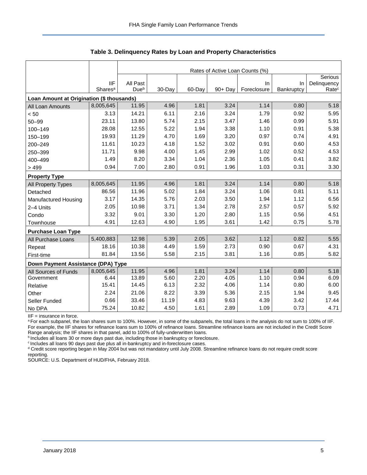|                                           |                                   | Rates of Active Loan Counts (%) |        |        |         |                   |                  |                                  |  |  |  |
|-------------------------------------------|-----------------------------------|---------------------------------|--------|--------|---------|-------------------|------------------|----------------------------------|--|--|--|
|                                           |                                   |                                 |        |        |         |                   |                  | Serious                          |  |  |  |
|                                           | <b>IIF</b><br>Shares <sup>a</sup> | All Past<br>Due <sup>b</sup>    | 30-Day | 60-Day | 90+ Day | In<br>Foreclosure | In<br>Bankruptcy | Delinquency<br>Rate <sup>c</sup> |  |  |  |
| Loan Amount at Origination (\$ thousands) |                                   |                                 |        |        |         |                   |                  |                                  |  |  |  |
|                                           | 8,005,645                         | 11.95                           | 4.96   | 1.81   | 3.24    | 1.14              | 0.80             | 5.18                             |  |  |  |
| All Loan Amounts                          | 3.13                              | 14.21                           | 6.11   | 2.16   | 3.24    | 1.79              | 0.92             | 5.95                             |  |  |  |
| < 50                                      |                                   |                                 |        |        |         |                   |                  |                                  |  |  |  |
| $50 - 99$                                 | 23.11                             | 13.80                           | 5.74   | 2.15   | 3.47    | 1.46              | 0.99             | 5.91                             |  |  |  |
| 100-149                                   | 28.08                             | 12.55                           | 5.22   | 1.94   | 3.38    | 1.10              | 0.91             | 5.38                             |  |  |  |
| 150-199                                   | 19.93                             | 11.29                           | 4.70   | 1.69   | 3.20    | 0.97              | 0.74             | 4.91                             |  |  |  |
| 200-249                                   | 11.61                             | 10.23                           | 4.18   | 1.52   | 3.02    | 0.91              | 0.60             | 4.53                             |  |  |  |
| 250-399                                   | 11.71                             | 9.98                            | 4.00   | 1.45   | 2.99    | 1.02              | 0.52             | 4.53                             |  |  |  |
| 400-499                                   | 1.49                              | 8.20                            | 3.34   | 1.04   | 2.36    | 1.05              | 0.41             | 3.82                             |  |  |  |
| > 499                                     | 0.94                              | 7.00                            | 2.80   | 0.91   | 1.96    | 1.03              | 0.31             | 3.30                             |  |  |  |
| <b>Property Type</b>                      |                                   |                                 |        |        |         |                   |                  |                                  |  |  |  |
| All Property Types                        | 8,005,645                         | 11.95                           | 4.96   | 1.81   | 3.24    | 1.14              | 0.80             | 5.18                             |  |  |  |
| Detached                                  | 86.56                             | 11.96                           | 5.02   | 1.84   | 3.24    | 1.06              | 0.81             | 5.11                             |  |  |  |
| Manufactured Housing                      | 3.17                              | 14.35                           | 5.76   | 2.03   | 3.50    | 1.94              | 1.12             | 6.56                             |  |  |  |
| 2-4 Units                                 | 2.05                              | 10.98                           | 3.71   | 1.34   | 2.78    | 2.57              | 0.57             | 5.92                             |  |  |  |
| Condo                                     | 3.32                              | 9.01                            | 3.30   | 1.20   | 2.80    | 1.15              | 0.56             | 4.51                             |  |  |  |
| Townhouse                                 | 4.91                              | 12.63                           | 4.90   | 1.95   | 3.61    | 1.42              | 0.75             | 5.78                             |  |  |  |
| <b>Purchase Loan Type</b>                 |                                   |                                 |        |        |         |                   |                  |                                  |  |  |  |
| All Purchase Loans                        | 5,400,883                         | 12.98                           | 5.39   | 2.05   | 3.62    | 1.12              | 0.82             | 5.55                             |  |  |  |
| Repeat                                    | 18.16                             | 10.38                           | 4.49   | 1.59   | 2.73    | 0.90              | 0.67             | 4.31                             |  |  |  |
| First-time                                | 81.84                             | 13.56                           | 5.58   | 2.15   | 3.81    | 1.16              | 0.85             | 5.82                             |  |  |  |
| Down Payment Assistance (DPA) Type        |                                   |                                 |        |        |         |                   |                  |                                  |  |  |  |
| All Sources of Funds                      | 8,005,645                         | 11.95                           | 4.96   | 1.81   | 3.24    | 1.14              | 0.80             | 5.18                             |  |  |  |
| Government                                | 6.44                              | 13.89                           | 5.60   | 2.20   | 4.05    | 1.10              | 0.94             | 6.09                             |  |  |  |
| Relative                                  | 15.41                             | 14.45                           | 6.13   | 2.32   | 4.06    | 1.14              | 0.80             | 6.00                             |  |  |  |
| Other                                     | 2.24                              | 21.06                           | 8.22   | 3.39   | 5.36    | 2.15              | 1.94             | 9.45                             |  |  |  |
| Seller Funded                             | 0.66                              | 33.46                           | 11.19  | 4.83   | 9.63    | 4.39              | 3.42             | 17.44                            |  |  |  |
| No DPA                                    | 75.24                             | 10.82                           | 4.50   | 1.61   | 2.89    | 1.09              | 0.73             | 4.71                             |  |  |  |

**Table 3. Delinquency Rates by Loan and Property Characteristics**

IIF = insurance in force.

a For each subpanel, the loan shares sum to 100%. However, in some of the subpanels, the total loans in the analysis do not sum to 100% of IIF. For example, the IIF shares for refinance loans sum to 100% of refinance loans. Streamline refinance loans are not included in the Credit Score Range analysis; the IIF shares in that panel, add to 100% of fully-underwritten loans.

**b** Includes all loans 30 or more days past due, including those in bankruptcy or foreclosure.

<sup>c</sup> Includes all loans 90 days past due plus all in-bankruptcy and in-foreclosure cases.

<sup>d</sup> Credit score reporting began in May 2004 but was not mandatory until July 2008. Streamline refinance loans do not require credit score reporting.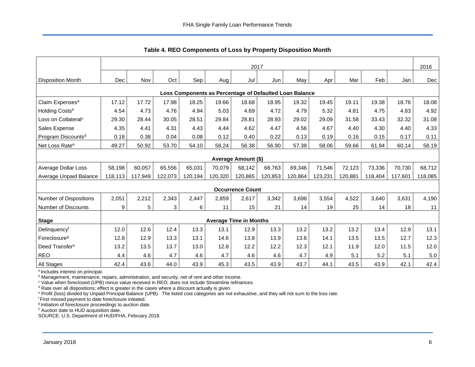<span id="page-6-0"></span>

|                                                         |         |         |         |         |         |                               |         | S(1)    |         |         |         |         |         |
|---------------------------------------------------------|---------|---------|---------|---------|---------|-------------------------------|---------|---------|---------|---------|---------|---------|---------|
|                                                         | 2017    |         |         |         |         |                               |         |         |         |         | 2016    |         |         |
| <b>Disposition Month</b>                                | Dec     | Nov     | Oct     | Sep     | Aug     | Jul                           | Jun     | May     | Apr     | Mar     | Feb     | Jan     | Dec     |
| Loss Components as Percentage of Defaulted Loan Balance |         |         |         |         |         |                               |         |         |         |         |         |         |         |
| Claim Expenses <sup>a</sup>                             | 17.12   | 17.72   | 17.98   | 18.25   | 19.66   | 18.68                         | 18.95   | 19.32   | 19.45   | 19.11   | 19.38   | 18.76   | 18.08   |
| Holding Costsb                                          | 4.54    | 4.73    | 4.76    | 4.94    | 5.03    | 4.69                          | 4.72    | 4.79    | 5.32    | 4.81    | 4.75    | 4.83    | 4.92    |
| Loss on Collateral <sup>c</sup>                         | 29.30   | 28.44   | 30.05   | 28.51   | 29.84   | 28.81                         | 28.93   | 29.02   | 29.09   | 31.58   | 33.43   | 32.32   | 31.08   |
| Sales Expense                                           | 4.35    | 4.41    | 4.31    | 4.43    | 4.44    | 4.62                          | 4.47    | 4.56    | 4.67    | 4.40    | 4.30    | 4.40    | 4.33    |
| Program Discounts <sup>d</sup>                          | 0.18    | 0.38    | 0.04    | 0.08    | 0.12    | 0.40                          | 0.22    | 0.13    | 0.19    | 0.16    | 0.15    | 0.17    | 0.11    |
| Net Loss Rate <sup>e</sup>                              | 49.27   | 50.92   | 53.70   | 54.10   | 58.24   | 56.38                         | 56.90   | 57.38   | 58.06   | 59.66   | 61.94   | 60.14   | 58.19   |
|                                                         |         |         |         |         |         | Average Amount (\$)           |         |         |         |         |         |         |         |
| Average Dollar Loss                                     | 58.198  | 60.057  | 65.556  | 65,031  | 70.079  | 68.142                        | 68,763  | 69,346  | 71.546  | 72,123  | 73,336  | 70,730  | 68,712  |
| Average Unpaid Balance                                  | 118,113 | 117,949 | 122,073 | 120.194 | 120,320 | 120,865                       | 120,853 | 120,864 | 123,231 | 120,881 | 118,404 | 117,601 | 118,085 |
|                                                         |         |         |         |         |         | <b>Occurrence Count</b>       |         |         |         |         |         |         |         |
| Number of Dispositions                                  | 2,051   | 2,212   | 2,343   | 2.447   | 2,859   | 2,617                         | 3,342   | 3,698   | 3,554   | 4,522   | 3,640   | 3,631   | 4,190   |
| <b>Number of Discounts</b>                              | 9       | 5       | 3       | 6       | 11      | 15                            | 21      | 14      | 19      | 25      | 14      | 18      | 11      |
| <b>Stage</b>                                            |         |         |         |         |         | <b>Average Time in Months</b> |         |         |         |         |         |         |         |
| Delinquencyf                                            | 12.0    | 12.6    | 12.4    | 13.3    | 13.1    | 12.9                          | 13.3    | 13.2    | 13.2    | 13.2    | 13.4    | 12.9    | 13.1    |
| Foreclosure <sup>g</sup>                                | 12.8    | 12.9    | 13.3    | 13.1    | 14.6    | 13.8                          | 13.9    | 13.6    | 14.1    | 13.5    | 13.5    | 12.7    | 12.3    |
| Deed Transferh                                          | 13.2    | 13.5    | 13.7    | 13.0    | 12.8    | 12.2                          | 12.2    | 12.3    | 12.1    | 11.9    | 12.0    | 11.5    | 12.0    |
| <b>REO</b>                                              | 4.4     | 4.6     | 4.7     | 4.6     | 4.7     | 4.6                           | 4.6     | 4.7     | 4.9     | 5.1     | 5.2     | 5.1     | 5.0     |
| All Stages                                              | 42.4    | 43.6    | 44.0    | 43.9    | 45.3    | 43.5                          | 43.9    | 43.7    | 44.1    | 43.5    | 43.9    | 42.1    | 42.4    |

**Table 4. REO Components of Loss by Property Disposition Month**

<sup>a</sup> Includes interest on principal.

**b** Management, maintenance, repairs, administration, and security, net of rent and other income.

<sup>c</sup> Value when foreclosed (UPB) minus value received in REO; does not include Streamline refinances.

 $d$  Rate over all dispositions; effect is greater in the cases where a discount actually is given.

<sup>e</sup> Profit (loss) divided by Unpaid Principal Balance (UPB). The listed cost categories are not exhaustive, and they will not sum to the loss rate.

<sup>f</sup> First missed payment to date foreclosure initiated.

<sup>g</sup> Initiation of foreclosure proceedings to auction date.

h Auction date to HUD acquisition date.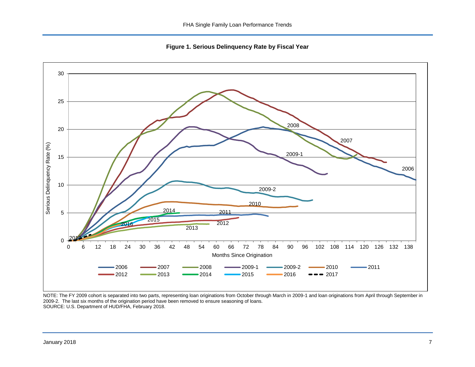**Figure 1. Serious Delinquency Rate by Fiscal Year**

<span id="page-7-0"></span>

NOTE: The FY 2009 cohort is separated into two parts, representing loan originations from October through March in 2009-1 and loan originations from April through September in 2009-2. The last six months of the origination period have been removed to ensure seasoning of loans. SOURCE: U.S. Department of HUD/FHA, February 2018.